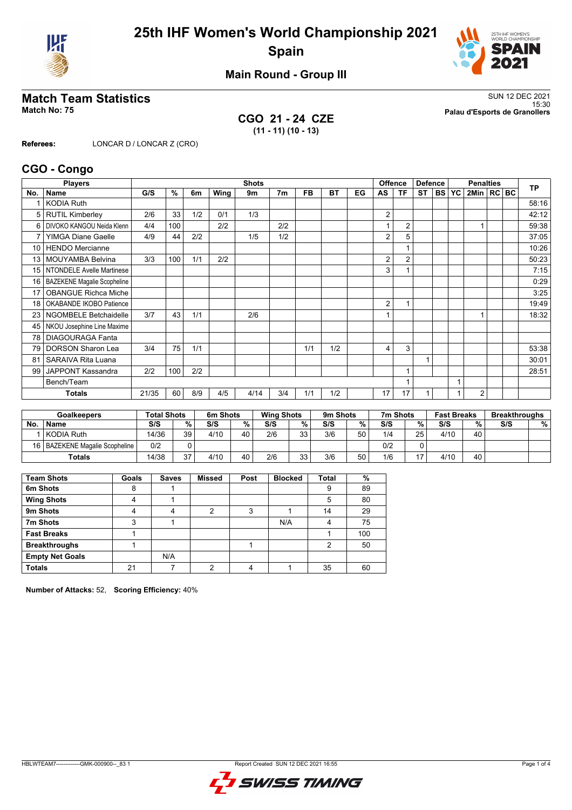



**Main Round - Group III**

**CGO 21 - 24 CZE (11 - 11) (10 - 13)**

**Match Team Statistics** SUN 12 DEC 2021 15:30 **Match No: 75 Palau d'Esports de Granollers**

**Referees:** LONCAR D / LONCAR Z (CRO)

### **CGO - Congo**

|                 | <b>Players</b>                     |       | <b>Shots</b> |     |      |      |     |           |     |    | <b>Offence</b><br><b>Defence</b> |                |           | <b>Penalties</b> |  |                |  | <b>TP</b> |       |
|-----------------|------------------------------------|-------|--------------|-----|------|------|-----|-----------|-----|----|----------------------------------|----------------|-----------|------------------|--|----------------|--|-----------|-------|
| No.             | <b>Name</b>                        | G/S   | %            | 6m  | Wing | 9m   | 7m  | <b>FB</b> | BT  | EG | AS                               | TF             | <b>ST</b> | <b>BS YC</b>     |  | 2Min   RC   BC |  |           |       |
|                 | <b>KODIA Ruth</b>                  |       |              |     |      |      |     |           |     |    |                                  |                |           |                  |  |                |  |           | 58:16 |
| 5               | <b>RUTIL Kimberley</b>             | 2/6   | 33           | 1/2 | 0/1  | 1/3  |     |           |     |    | 2                                |                |           |                  |  |                |  |           | 42:12 |
| 6               | DIVOKO KANGOU Neida Klenn          | 4/4   | 100          |     | 2/2  |      | 2/2 |           |     |    |                                  | $\overline{2}$ |           |                  |  |                |  |           | 59:38 |
| 7               | <b>YIMGA Diane Gaelle</b>          | 4/9   | 44           | 2/2 |      | 1/5  | 1/2 |           |     |    | 2                                | 5              |           |                  |  |                |  |           | 37:05 |
| 10 <sup>1</sup> | <b>HENDO</b> Mercianne             |       |              |     |      |      |     |           |     |    |                                  |                |           |                  |  |                |  |           | 10:26 |
| 13              | <b>MOUYAMBA Belvina</b>            | 3/3   | 100          | 1/1 | 2/2  |      |     |           |     |    | 2                                | $\overline{2}$ |           |                  |  |                |  |           | 50:23 |
| 15 <sup>1</sup> | <b>NTONDELE Avelle Martinese</b>   |       |              |     |      |      |     |           |     |    | 3                                |                |           |                  |  |                |  |           | 7:15  |
| 16              | <b>BAZEKENE Magalie Scopheline</b> |       |              |     |      |      |     |           |     |    |                                  |                |           |                  |  |                |  |           | 0:29  |
| 17              | <b>OBANGUE Richca Miche</b>        |       |              |     |      |      |     |           |     |    |                                  |                |           |                  |  |                |  |           | 3:25  |
| 18              | OKABANDE IKOBO Patience            |       |              |     |      |      |     |           |     |    | 2                                |                |           |                  |  |                |  |           | 19:49 |
| 23 <sub>1</sub> | <b>NGOMBELE Betchaidelle</b>       | 3/7   | 43           | 1/1 |      | 2/6  |     |           |     |    |                                  |                |           |                  |  |                |  |           | 18:32 |
| 45              | NKOU Josephine Line Maxime         |       |              |     |      |      |     |           |     |    |                                  |                |           |                  |  |                |  |           |       |
| 78              | <b>DIAGOURAGA Fanta</b>            |       |              |     |      |      |     |           |     |    |                                  |                |           |                  |  |                |  |           |       |
| 79              | <b>DORSON Sharon Lea</b>           | 3/4   | 75           | 1/1 |      |      |     | 1/1       | 1/2 |    | 4                                | 3              |           |                  |  |                |  |           | 53:38 |
| 81              | <b>SARAIVA Rita Luana</b>          |       |              |     |      |      |     |           |     |    |                                  |                |           |                  |  |                |  |           | 30:01 |
| 99              | JAPPONT Kassandra                  | 2/2   | 100          | 2/2 |      |      |     |           |     |    |                                  |                |           |                  |  |                |  |           | 28:51 |
|                 | Bench/Team                         |       |              |     |      |      |     |           |     |    |                                  |                |           |                  |  |                |  |           |       |
|                 | <b>Totals</b>                      | 21/35 | 60           | 8/9 | 4/5  | 4/14 | 3/4 | 1/1       | 1/2 |    | 17                               | 17             |           |                  |  | $\overline{2}$ |  |           |       |

| <b>Goalkeepers</b> |                                  | <b>Total Shots</b> |    | 6m Shots |    | <b>Wing Shots</b> |          | 9m Shots |    | 7m Shots |    | <b>Fast Breaks</b> |     | <b>Breakthroughs</b> |   |
|--------------------|----------------------------------|--------------------|----|----------|----|-------------------|----------|----------|----|----------|----|--------------------|-----|----------------------|---|
| <b>No</b>          | <b>Name</b>                      | S/S                | %  | S/S      | %  | S/S               | %.       | S/S      | %  | S/S      | %  | S/S                | 0/2 | S/S                  | % |
|                    | KODIA Ruth                       | 14/36              | 39 | 4/10     | 40 | 2/6               | 33<br>ںر | 3/6      | 50 | 1/4      | 25 | 4/10               | 40  |                      |   |
|                    | 16   BAZEKENE Magalie Scopheline | 0/2                |    |          |    |                   |          |          |    | 0/2      |    |                    |     |                      |   |
|                    | Totals                           | 14/38              | 27 | 4/10     | 40 | 2/6               | 33<br>JJ | 3/6      | 50 | 1/6      | 17 | 4/10               | 40  |                      |   |

| <b>Team Shots</b>      | Goals | <b>Saves</b> | <b>Missed</b> | Post | <b>Blocked</b> | <b>Total</b> | %   |
|------------------------|-------|--------------|---------------|------|----------------|--------------|-----|
| 6m Shots               | 8     |              |               |      |                | 9            | 89  |
| <b>Wing Shots</b>      | 4     |              |               |      |                | 5            | 80  |
| 9m Shots               | 4     | 4            | 2             | 3    |                | 14           | 29  |
| 7m Shots               | 3     |              |               |      | N/A            | 4            | 75  |
| <b>Fast Breaks</b>     |       |              |               |      |                |              | 100 |
| <b>Breakthroughs</b>   |       |              |               |      |                | 2            | 50  |
| <b>Empty Net Goals</b> |       | N/A          |               |      |                |              |     |
| <b>Totals</b>          | 21    |              | ∩             | 4    |                | 35           | 60  |

**Number of Attacks:** 52, **Scoring Efficiency:** 40%

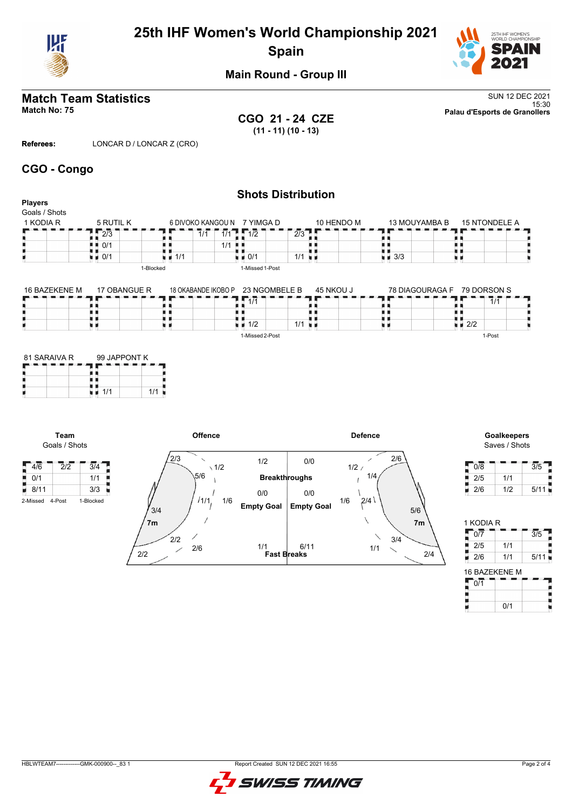

# **25th IHF Women's World Championship 2021 Spain**



**Main Round - Group III**

# **Match Team Statistics** SUN 12 DEC 2021

**CGO 21 - 24 CZE (11 - 11) (10 - 13)**

15:30 **Match No: 75 Palau d'Esports de Granollers**

**Referees:** LONCAR D / LONCAR Z (CRO)

### **CGO - Congo**

|                                              | <b>Shots Distribution</b> |                     |                                   |                      |                             |                                   |  |  |  |  |
|----------------------------------------------|---------------------------|---------------------|-----------------------------------|----------------------|-----------------------------|-----------------------------------|--|--|--|--|
| <b>Players</b><br>Goals / Shots<br>1 KODIA R | 5 RUTIL K                 |                     | 6 DIVOKO KANGOU N 7 YIMGA D       | 10 HENDO M           | 13 MOUYAMBA B               | 15 NTONDELE A                     |  |  |  |  |
|                                              | 2/3                       | 1/1                 | $1/1$ $\frac{1}{2}$ $1/2$         | 2/3                  |                             |                                   |  |  |  |  |
|                                              | 0/1                       |                     | 1/1<br>. .                        |                      |                             |                                   |  |  |  |  |
|                                              | 0/1<br>н и                | 1/1<br>. .          | $\blacksquare$ 0/1                | $1/1$ $\blacksquare$ | 3/3<br>加算                   |                                   |  |  |  |  |
|                                              | 1-Blocked                 |                     | 1-Missed 1-Post                   |                      |                             |                                   |  |  |  |  |
| 16 BAZEKENE M                                | 17 OBANGUE R              | 18 OKABANDE IKOBO P | 23 NGOMBELE B                     | 45 NKOU J            | 78 DIAGOURAGA F 79 DORSON S |                                   |  |  |  |  |
|                                              |                           |                     | $1 - 1/1$                         |                      |                             | 1/1                               |  |  |  |  |
|                                              |                           |                     |                                   |                      |                             |                                   |  |  |  |  |
|                                              |                           |                     | $\blacksquare$ $\blacksquare$ 1/2 | $1/1$ $\blacksquare$ |                             | $\blacksquare$ $\blacksquare$ 2/2 |  |  |  |  |

1-Missed 2-Post

| 81 SARAIVA R | 99 JAPPONT K |  |  |  |  |  |  |  |
|--------------|--------------|--|--|--|--|--|--|--|
|              |              |  |  |  |  |  |  |  |
|              | 1/1<br>1/1   |  |  |  |  |  |  |  |

**Team** Goals / Shots



# Saves / Shots

1-Post

| 0/8 |     | 3/5  |
|-----|-----|------|
| 2/5 | 1/1 |      |
| 2/6 | 1/2 | 5/11 |

| 1 KODIA R             |     |      |
|-----------------------|-----|------|
| 0/7                   |     | 3/5  |
| 2/5                   | 1/1 |      |
| 2/6                   | 1/1 | 5/11 |
| $A \cap B$ $A \cap T$ |     |      |

| 16 BAZEKENE M |     |  |  |  |  |  |  |  |  |  |  |
|---------------|-----|--|--|--|--|--|--|--|--|--|--|
| 0/1           |     |  |  |  |  |  |  |  |  |  |  |
|               |     |  |  |  |  |  |  |  |  |  |  |
|               | 0/1 |  |  |  |  |  |  |  |  |  |  |

HBLWTEAM7-------------GMK-000900--\_83 1 Report Created SUN 12 DEC 2021 16:55

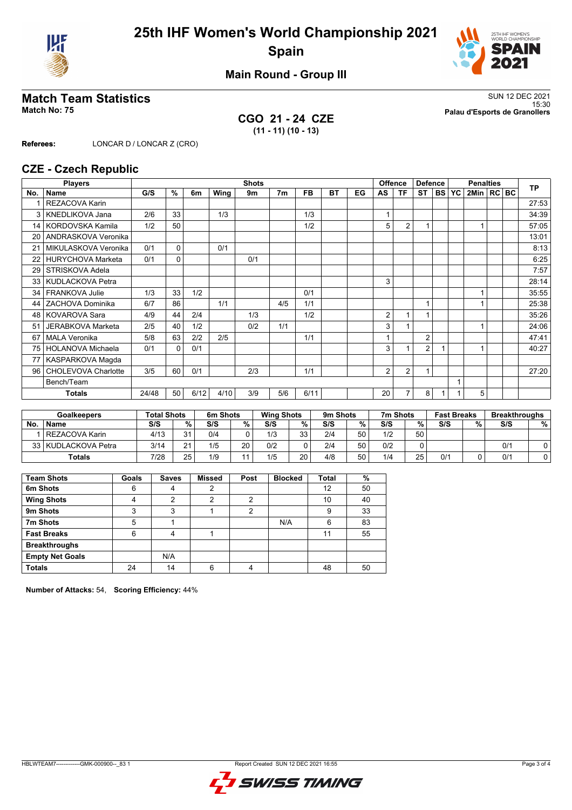



**Main Round - Group III**

**CGO 21 - 24 CZE (11 - 11) (10 - 13)**

**Match Team Statistics** SUN 12 DEC 2021 15:30 **Match No: 75 Palau d'Esports de Granollers**

**Referees:** LONCAR D / LONCAR Z (CRO)

### **CZE - Czech Republic**

|                 | <b>Players</b>           | <b>Shots</b><br><b>Offence</b> |          |      |      |     |                |           | <b>Defence</b> |    | <b>Penalties</b> |                |                |           | <b>TP</b> |              |  |  |       |
|-----------------|--------------------------|--------------------------------|----------|------|------|-----|----------------|-----------|----------------|----|------------------|----------------|----------------|-----------|-----------|--------------|--|--|-------|
| No.             | Name                     | G/S                            | %        | 6m   | Wing | 9m  | 7 <sub>m</sub> | <b>FB</b> | <b>BT</b>      | EG | AS               | ΤF             | <b>ST</b>      | <b>BS</b> | <b>YC</b> | 2Min   RC BC |  |  |       |
|                 | <b>REZACOVA Karin</b>    |                                |          |      |      |     |                |           |                |    |                  |                |                |           |           |              |  |  | 27:53 |
| 3               | <b>KNEDLIKOVA Jana</b>   | 2/6                            | 33       |      | 1/3  |     |                | 1/3       |                |    | 1                |                |                |           |           |              |  |  | 34:39 |
| 14              | KORDOVSKA Kamila         | 1/2                            | 50       |      |      |     |                | 1/2       |                |    | 5                | 2              |                |           |           |              |  |  | 57:05 |
| 20              | ANDRASKOVA Veronika      |                                |          |      |      |     |                |           |                |    |                  |                |                |           |           |              |  |  | 13:01 |
| 21              | MIKULASKOVA Veronika     | 0/1                            | 0        |      | 0/1  |     |                |           |                |    |                  |                |                |           |           |              |  |  | 8:13  |
| 22              | HURYCHOVA Marketa        | 0/1                            | $\Omega$ |      |      | 0/1 |                |           |                |    |                  |                |                |           |           |              |  |  | 6:25  |
| 29              | STRISKOVA Adela          |                                |          |      |      |     |                |           |                |    |                  |                |                |           |           |              |  |  | 7:57  |
| 33              | KUDLACKOVA Petra         |                                |          |      |      |     |                |           |                |    | 3                |                |                |           |           |              |  |  | 28:14 |
| 34 <sup>1</sup> | FRANKOVA Julie           | 1/3                            | 33       | 1/2  |      |     |                | 0/1       |                |    |                  |                |                |           |           |              |  |  | 35:55 |
| 44              | ZACHOVA Dominika         | 6/7                            | 86       |      | 1/1  |     | 4/5            | 1/1       |                |    |                  |                | 1              |           |           |              |  |  | 25:38 |
| 48              | <b>KOVAROVA Sara</b>     | 4/9                            | 44       | 2/4  |      | 1/3 |                | 1/2       |                |    | 2                | 1              |                |           |           |              |  |  | 35:26 |
| 51              | JERABKOVA Marketa        | 2/5                            | 40       | 1/2  |      | 0/2 | 1/1            |           |                |    | 3                |                |                |           |           |              |  |  | 24:06 |
| 67              | <b>MALA Veronika</b>     | 5/8                            | 63       | 2/2  | 2/5  |     |                | 1/1       |                |    |                  |                | $\overline{2}$ |           |           |              |  |  | 47:41 |
| 75              | <b>HOLANOVA Michaela</b> | 0/1                            | $\Omega$ | 0/1  |      |     |                |           |                |    | 3                |                | $\overline{2}$ |           |           |              |  |  | 40:27 |
| 77              | KASPARKOVA Magda         |                                |          |      |      |     |                |           |                |    |                  |                |                |           |           |              |  |  |       |
| 96              | CHOLEVOVA Charlotte      | 3/5                            | 60       | 0/1  |      | 2/3 |                | 1/1       |                |    | $\overline{2}$   | 2              | 1              |           |           |              |  |  | 27:20 |
|                 | Bench/Team               |                                |          |      |      |     |                |           |                |    |                  |                |                |           |           |              |  |  |       |
|                 | <b>Totals</b>            | 24/48                          | 50       | 6/12 | 4/10 | 3/9 | 5/6            | 6/11      |                |    | 20               | $\overline{7}$ | 8              |           |           | 5            |  |  |       |

| <b>Goalkeepers</b> |                     | <b>Total Shots</b> |              | 6m Shots |    | <b>Wing Shots</b> |          | 9m Shots |    | 7m Shots |    | <b>Fast Breaks</b> |   | <b>Breakthroughs</b> |   |
|--------------------|---------------------|--------------------|--------------|----------|----|-------------------|----------|----------|----|----------|----|--------------------|---|----------------------|---|
| <b>No</b>          | <b>Name</b>         | S/S                | $\%$ .       | S/S      | %  | S/S               | %        | S/S      | ℅  | S/S      | %  | S/S                | % | S/S                  | % |
|                    | l REZACOVA Karin    | 4/13               | 24           | 0/4      |    | 1/3               | っっ       | 2/4      | 50 | 1/2      | 50 |                    |   |                      |   |
|                    | 33 KUDLACKOVA Petra | 3/14               | $\mathbf{a}$ | 1/5      | 20 | 0/2               |          | 2/4      | 50 | 0/2      |    |                    |   | 0/1                  |   |
|                    | <b>Totals</b>       | 7/28               | 25           | 1/9      |    | 1/5               | 20<br>∠∪ | 4/8      | 50 | 1/4      | 25 | 0/2                |   | 0/1                  |   |

| <b>Team Shots</b>      | Goals | <b>Saves</b> | <b>Missed</b> | Post | <b>Blocked</b> | <b>Total</b> | %  |
|------------------------|-------|--------------|---------------|------|----------------|--------------|----|
| 6m Shots               | 6     | 4            | 2             |      |                | 12           | 50 |
| <b>Wing Shots</b>      | 4     | 2            | っ             | っ    |                | 10           | 40 |
| 9m Shots               | 3     | 3            |               | 2    |                | 9            | 33 |
| 7m Shots               | 5     |              |               |      | N/A            | 6            | 83 |
| <b>Fast Breaks</b>     | 6     | 4            |               |      |                | 11           | 55 |
| <b>Breakthroughs</b>   |       |              |               |      |                |              |    |
| <b>Empty Net Goals</b> |       | N/A          |               |      |                |              |    |
| <b>Totals</b>          | 24    | 14           | հ             | 4    |                | 48           | 50 |

**Number of Attacks:** 54, **Scoring Efficiency:** 44%